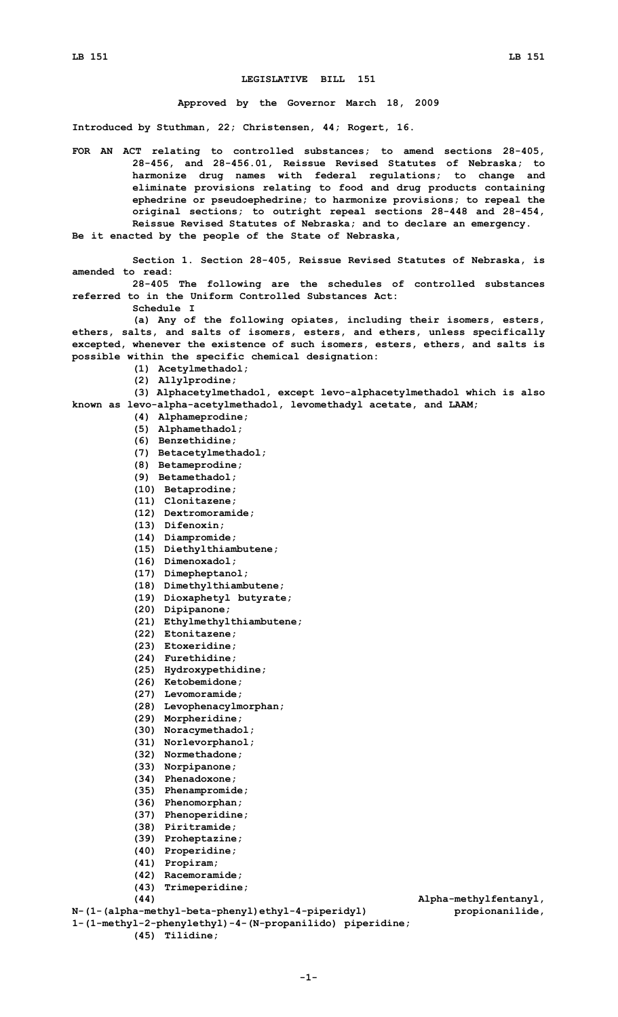## **LEGISLATIVE BILL 151**

## **Approved by the Governor March 18, 2009**

**Introduced by Stuthman, 22; Christensen, 44; Rogert, 16.**

**FOR AN ACT relating to controlled substances; to amend sections 28-405, 28-456, and 28-456.01, Reissue Revised Statutes of Nebraska; to harmonize drug names with federal regulations; to change and eliminate provisions relating to food and drug products containing ephedrine or pseudoephedrine; to harmonize provisions; to repeal the original sections; to outright repeal sections 28-448 and 28-454, Reissue Revised Statutes of Nebraska; and to declare an emergency. Be it enacted by the people of the State of Nebraska,**

**Section 1. Section 28-405, Reissue Revised Statutes of Nebraska, is amended to read:**

**28-405 The following are the schedules of controlled substances referred to in the Uniform Controlled Substances Act:**

**Schedule I**

**(a) Any of the following opiates, including their isomers, esters, ethers, salts, and salts of isomers, esters, and ethers, unless specifically excepted, whenever the existence of such isomers, esters, ethers, and salts is possible within the specific chemical designation:**

- **(1) Acetylmethadol;**
- **(2) Allylprodine;**
- **(3) Alphacetylmethadol, except levo-alphacetylmethadol which is also**

**known as levo-alpha-acetylmethadol, levomethadyl acetate, and LAAM;**

- **(4) Alphameprodine;**
- **(5) Alphamethadol;**
- **(6) Benzethidine;**
- **(7) Betacetylmethadol;**
- **(8) Betameprodine;**
- **(9) Betamethadol;**
- **(10) Betaprodine;**
- **(11) Clonitazene;**
- **(12) Dextromoramide;**
- **(13) Difenoxin;**
- **(14) Diampromide;**
- **(15) Diethylthiambutene;**
- **(16) Dimenoxadol;**
- **(17) Dimepheptanol;**
- **(18) Dimethylthiambutene;**
- **(19) Dioxaphetyl butyrate;**
- **(20) Dipipanone;**
- **(21) Ethylmethylthiambutene;**
- **(22) Etonitazene;**
- **(23) Etoxeridine;**
- **(24) Furethidine;**
- **(25) Hydroxypethidine;**
- **(26) Ketobemidone;**
- **(27) Levomoramide;**
- **(28) Levophenacylmorphan;**
- **(29) Morpheridine;**
- **(30) Noracymethadol;**
- **(31) Norlevorphanol;**
- **(32) Normethadone;**
- **(33) Norpipanone;**
- **(34) Phenadoxone;**
- **(35) Phenampromide;**
- **(36) Phenomorphan;**
- **(37) Phenoperidine;**
- **(38) Piritramide;**
- **(39) Proheptazine;**
- **(40) Properidine;**
- **(41) Propiram;**
- **(42) Racemoramide;**
- **(43) Trimeperidine;**

**N-(1-(alpha-methyl-beta-phenyl)ethyl-4-piperidyl) propionanilide,**

**1-(1-methyl-2-phenylethyl)-4-(N-propanilido) piperidine;**

**(45) Tilidine;**

**(44) Alpha-methylfentanyl,**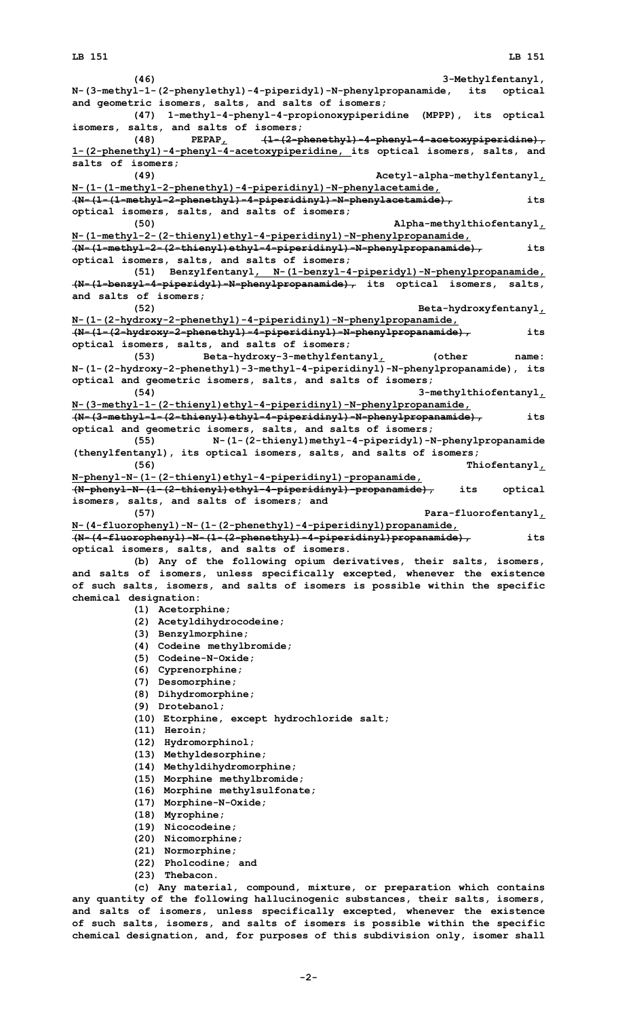**(46) 3-Methylfentanyl, N-(3-methyl-1-(2-phenylethyl)-4-piperidyl)-N-phenylpropanamide, its optical and geometric isomers, salts, and salts of isomers; (47) 1-methyl-4-phenyl-4-propionoxypiperidine (MPPP), its optical isomers, salts, and salts of isomers; (48) PEPAP, (1-(2-phenethyl)-4-phenyl-4-acetoxypiperidine), 1-(2-phenethyl)-4-phenyl-4-acetoxypiperidine, its optical isomers, salts, and salts of isomers; (49) Acetyl-alpha-methylfentanyl, N-(1-(1-methyl-2-phenethyl)-4-piperidinyl)-N-phenylacetamide, (N-(1-(1-methyl-2-phenethyl)-4-piperidinyl)-N-phenylacetamide), its optical isomers, salts, and salts of isomers; (50) Alpha-methylthiofentanyl, N-(1-methyl-2-(2-thienyl)ethyl-4-piperidinyl)-N-phenylpropanamide, (N-(1-methyl-2-(2-thienyl)ethyl-4-piperidinyl)-N-phenylpropanamide), its optical isomers, salts, and salts of isomers; (51) Benzylfentanyl, N-(1-benzyl-4-piperidyl)-N-phenylpropanamide, (N-(1-benzyl-4-piperidyl)-N-phenylpropanamide), its optical isomers, salts, and salts of isomers; (52) Beta-hydroxyfentanyl, N-(1-(2-hydroxy-2-phenethyl)-4-piperidinyl)-N-phenylpropanamide, (N-(1-(2-hydroxy-2-phenethyl)-4-piperidinyl)-N-phenylpropanamide), its optical isomers, salts, and salts of isomers; (53) Beta-hydroxy-3-methylfentanyl, (other name: N-(1-(2-hydroxy-2-phenethyl)-3-methyl-4-piperidinyl)-N-phenylpropanamide), its optical and geometric isomers, salts, and salts of isomers; (54) 3-methylthiofentanyl, N-(3-methyl-1-(2-thienyl)ethyl-4-piperidinyl)-N-phenylpropanamide, (N-(3-methyl-1-(2-thienyl)ethyl-4-piperidinyl)-N-phenylpropanamide), its optical and geometric isomers, salts, and salts of isomers; (55) N-(1-(2-thienyl)methyl-4-piperidyl)-N-phenylpropanamide (thenylfentanyl), its optical isomers, salts, and salts of isomers; (56) Thiofentanyl, N-phenyl-N-(1-(2-thienyl)ethyl-4-piperidinyl)-propanamide, (N-phenyl-N-(1-(2-thienyl)ethyl-4-piperidinyl)-propanamide), its optical isomers, salts, and salts of isomers; and (57) Para-fluorofentanyl, N-(4-fluorophenyl)-N-(1-(2-phenethyl)-4-piperidinyl)propanamide, (N-(4-fluorophenyl)-N-(1-(2-phenethyl)-4-piperidinyl)propanamide), its optical isomers, salts, and salts of isomers. (b) Any of the following opium derivatives, their salts, isomers, and salts of isomers, unless specifically excepted, whenever the existence of such salts, isomers, and salts of isomers is possible within the specific chemical designation: (1) Acetorphine; (2) Acetyldihydrocodeine; (3) Benzylmorphine; (4) Codeine methylbromide; (5) Codeine-N-Oxide; (6) Cyprenorphine; (7) Desomorphine; (8) Dihydromorphine; (9) Drotebanol; (10) Etorphine, except hydrochloride salt; (11) Heroin; (12) Hydromorphinol; (13) Methyldesorphine; (14) Methyldihydromorphine; (15) Morphine methylbromide; (16) Morphine methylsulfonate; (17) Morphine-N-Oxide; (18) Myrophine; (19) Nicocodeine; (20) Nicomorphine; (21) Normorphine; (22) Pholcodine; and (23) Thebacon.**

**(c) Any material, compound, mixture, or preparation which contains any quantity of the following hallucinogenic substances, their salts, isomers, and salts of isomers, unless specifically excepted, whenever the existence of such salts, isomers, and salts of isomers is possible within the specific chemical designation, and, for purposes of this subdivision only, isomer shall**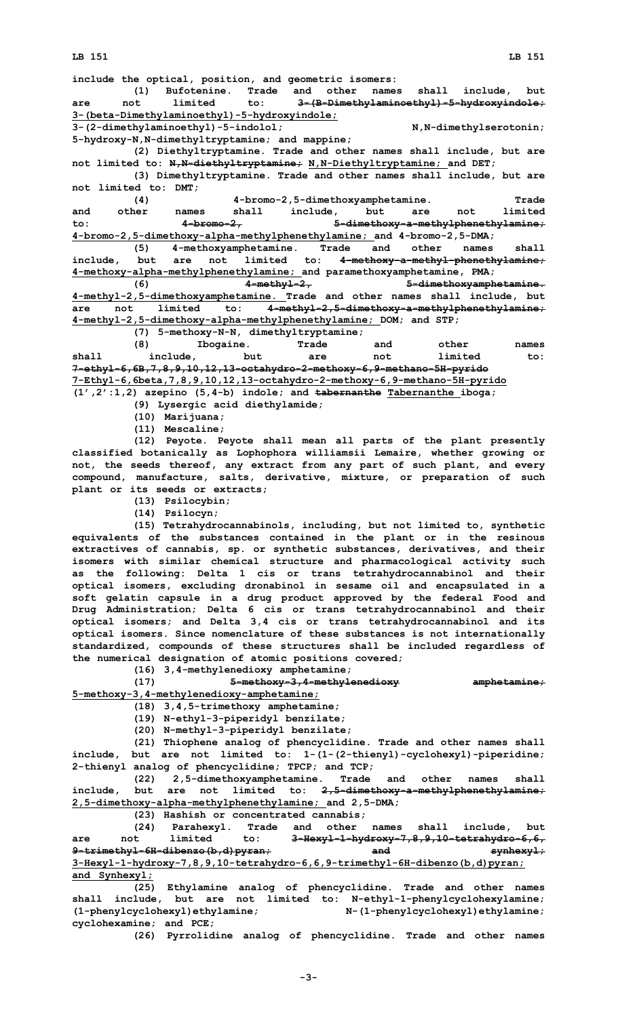**include the optical, position, and geometric isomers:**

**(1) Bufotenine. Trade and other names shall include, but are not limited to: 3-(B-Dimethylaminoethyl)-5-hydroxyindole; 3-(beta-Dimethylaminoethyl)-5-hydroxyindole;**

**3-(2-dimethylaminoethyl)-5-indolol; N,N-dimethylserotonin; 5-hydroxy-N,N-dimethyltryptamine; and mappine;**

**(2) Diethyltryptamine. Trade and other names shall include, but are not limited to: N,N-diethyltryptamine; N,N-Diethyltryptamine; and DET;**

**(3) Dimethyltryptamine. Trade and other names shall include, but are not limited to: DMT;**

**(4) 4-bromo-2,5-dimethoxyamphetamine. Trade and other names shall include, but are not limited to: 4-bromo-2, 5-dimethoxy-a-methylphenethylamine; 4-bromo-2,5-dimethoxy-alpha-methylphenethylamine; and 4-bromo-2,5-DMA;**

**(5) 4-methoxyamphetamine. Trade and other names shall include, but are not limited to: 4-methoxy-a-methyl-phenethylamine; 4-methoxy-alpha-methylphenethylamine; and paramethoxyamphetamine, PMA;**

**(6) 4-methyl-2, 5-dimethoxyamphetamine. 4-methyl-2,5-dimethoxyamphetamine. Trade and other names shall include, but are not limited to: 4-methyl-2,5-dimethoxy-a-methylphenethylamine; 4-methyl-2,5-dimethoxy-alpha-methylphenethylamine; DOM; and STP;**

**(7) 5-methoxy-N-N, dimethyltryptamine; (8) Ibogaine. Trade and other names shall include, but are not limited to: 7-ethyl-6,6B,7,8,9,10,12,13-octahydro-2-methoxy-6,9-methano-5H-pyrido 7-Ethyl-6,6beta,7,8,9,10,12,13-octahydro-2-methoxy-6,9-methano-5H-pyrido**

**(1',2':1,2) azepino (5,4-b) indole; and tabernanthe Tabernanthe iboga;**

**(9) Lysergic acid diethylamide;**

**(10) Marijuana;**

**(11) Mescaline;**

**(12) Peyote. Peyote shall mean all parts of the plant presently classified botanically as Lophophora williamsii Lemaire, whether growing or not, the seeds thereof, any extract from any part of such plant, and every compound, manufacture, salts, derivative, mixture, or preparation of such plant or its seeds or extracts;**

**(13) Psilocybin;**

**(14) Psilocyn;**

**(15) Tetrahydrocannabinols, including, but not limited to, synthetic equivalents of the substances contained in the plant or in the resinous extractives of cannabis, sp. or synthetic substances, derivatives, and their isomers with similar chemical structure and pharmacological activity such as the following: Delta 1 cis or trans tetrahydrocannabinol and their optical isomers, excluding dronabinol in sesame oil and encapsulated in <sup>a</sup> soft gelatin capsule in <sup>a</sup> drug product approved by the federal Food and Drug Administration; Delta 6 cis or trans tetrahydrocannabinol and their optical isomers; and Delta 3,4 cis or trans tetrahydrocannabinol and its optical isomers. Since nomenclature of these substances is not internationally standardized, compounds of these structures shall be included regardless of the numerical designation of atomic positions covered;**

**(16) 3,4-methylenedioxy amphetamine;**

**(17) 5-methoxy-3,4-methylenedioxy amphetamine; 5-methoxy-3,4-methylenedioxy-amphetamine;**

**(18) 3,4,5-trimethoxy amphetamine;**

**(19) N-ethyl-3-piperidyl benzilate;**

**(20) N-methyl-3-piperidyl benzilate;**

**(21) Thiophene analog of phencyclidine. Trade and other names shall include, but are not limited to: 1-(1-(2-thienyl)-cyclohexyl)-piperidine; 2-thienyl analog of phencyclidine; TPCP; and TCP;**

**(22) 2,5-dimethoxyamphetamine. Trade and other names shall include, but are not limited to: 2,5-dimethoxy-a-methylphenethylamine; 2,5-dimethoxy-alpha-methylphenethylamine; and 2,5-DMA;**

**(23) Hashish or concentrated cannabis;**

**(24) Parahexyl. Trade and other names shall include, but are not limited to: 3-Hexyl-1-hydroxy-7,8,9,10-tetrahydro-6,6, 9-trimethyl-6H-dibenzo(b,d)pyran; and synhexyl; 3-Hexyl-1-hydroxy-7,8,9,10-tetrahydro-6,6,9-trimethyl-6H-dibenzo(b,d)pyran; and Synhexyl;**

**(25) Ethylamine analog of phencyclidine. Trade and other names shall include, but are not limited to: N-ethyl-1-phenylcyclohexylamine; (1-phenylcyclohexyl)ethylamine; N-(1-phenylcyclohexyl)ethylamine; cyclohexamine; and PCE;**

**(26) Pyrrolidine analog of phencyclidine. Trade and other names**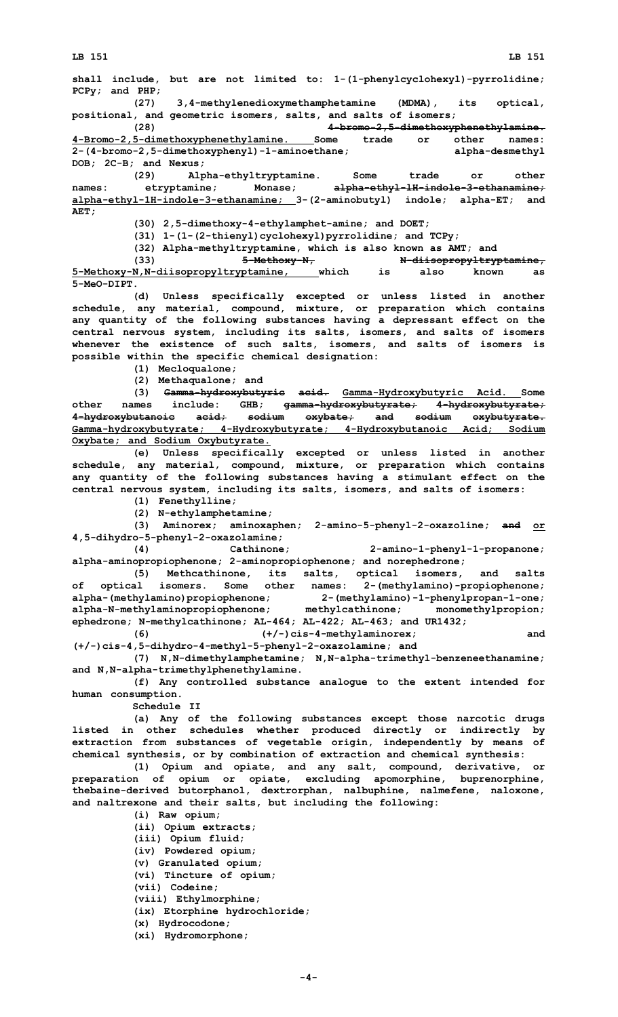**shall include, but are not limited to: 1-(1-phenylcyclohexyl)-pyrrolidine; PCPy; and PHP;**

**(27) 3,4-methylenedioxymethamphetamine (MDMA), its optical, positional, and geometric isomers, salts, and salts of isomers;**

**(28) 4-bromo-2,5-dimethoxyphenethylamine. 4-Bromo-2,5-dimethoxyphenethylamine. Some trade or other names: 2-(4-bromo-2,5-dimethoxyphenyl)-1-aminoethane; alpha-desmethyl DOB; 2C-B; and Nexus;**

**(29) Alpha-ethyltryptamine. Some trade or other names: etryptamine; Monase; alpha-ethyl-lH-indole-3-ethanamine; alpha-ethyl-1H-indole-3-ethanamine; 3-(2-aminobutyl) indole; alpha-ET; and AET;**

**(30) 2,5-dimethoxy-4-ethylamphet-amine; and DOET;**

**(31) 1-(1-(2-thienyl)cyclohexyl)pyrrolidine; and TCPy;**

**(32) Alpha-methyltryptamine, which is also known as AMT; and**

**(33) 5-Methoxy-N, N-diisopropyltryptamine, 5-Methoxy-N,N-diisopropyltryptamine, which is also known as 5-MeO-DIPT.**

**(d) Unless specifically excepted or unless listed in another schedule, any material, compound, mixture, or preparation which contains any quantity of the following substances having <sup>a</sup> depressant effect on the central nervous system, including its salts, isomers, and salts of isomers whenever the existence of such salts, isomers, and salts of isomers is possible within the specific chemical designation:**

- **(1) Mecloqualone;**
- **(2) Methaqualone; and**

**(3) Gamma-hydroxybutyric acid. Gamma-Hydroxybutyric Acid. Some other names include: GHB; gamma-hydroxybutyrate; 4-hydroxybutyrate; 4-hydroxybutanoic acid; sodium oxybate; and sodium oxybutyrate. Gamma-hydroxybutyrate; 4-Hydroxybutyrate; 4-Hydroxybutanoic Acid; Sodium Oxybate; and Sodium Oxybutyrate.**

**(e) Unless specifically excepted or unless listed in another schedule, any material, compound, mixture, or preparation which contains any quantity of the following substances having <sup>a</sup> stimulant effect on the central nervous system, including its salts, isomers, and salts of isomers:**

**(1) Fenethylline;**

**(2) N-ethylamphetamine;**

**(3) Aminorex; aminoxaphen; 2-amino-5-phenyl-2-oxazoline; and or 4,5-dihydro-5-phenyl-2-oxazolamine;**

**(4) Cathinone; 2-amino-1-phenyl-1-propanone; alpha-aminopropiophenone; 2-aminopropiophenone; and norephedrone;**

**(5) Methcathinone, its salts, optical isomers, and salts of optical isomers. Some other names: 2-(methylamino)-propiophenone; alpha-(methylamino)propiophenone; 2-(methylamino)-1-phenylpropan-1-one; alpha-N-methylaminopropiophenone; methylcathinone; monomethylpropion; ephedrone; N-methylcathinone; AL-464; AL-422; AL-463; and UR1432;**

**(6) (+/-)cis-4-methylaminorex; and (+/-)cis-4,5-dihydro-4-methyl-5-phenyl-2-oxazolamine; and**

**(7) N,N-dimethylamphetamine; N,N-alpha-trimethyl-benzeneethanamine; and N,N-alpha-trimethylphenethylamine.**

**(f) Any controlled substance analogue to the extent intended for human consumption.**

**Schedule II**

**(a) Any of the following substances except those narcotic drugs listed in other schedules whether produced directly or indirectly by extraction from substances of vegetable origin, independently by means of chemical synthesis, or by combination of extraction and chemical synthesis:**

**(1) Opium and opiate, and any salt, compound, derivative, or preparation of opium or opiate, excluding apomorphine, buprenorphine, thebaine-derived butorphanol, dextrorphan, nalbuphine, nalmefene, naloxone, and naltrexone and their salts, but including the following:**

**(i) Raw opium; (ii) Opium extracts; (iii) Opium fluid; (iv) Powdered opium; (v) Granulated opium; (vi) Tincture of opium; (vii) Codeine; (viii) Ethylmorphine; (ix) Etorphine hydrochloride; (x) Hydrocodone; (xi) Hydromorphone;**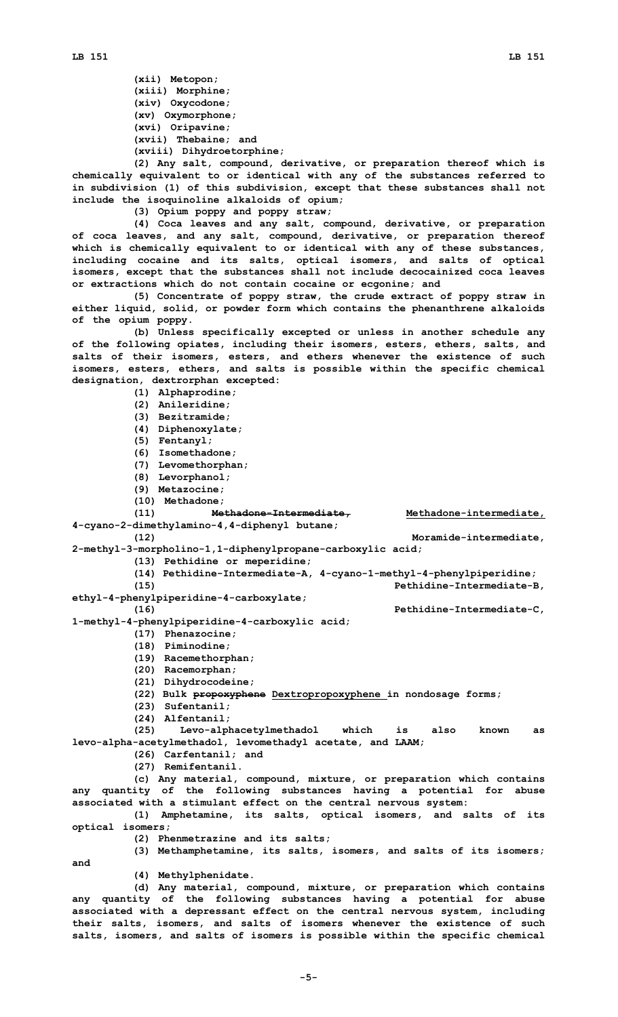**(xii) Metopon; (xiii) Morphine; (xiv) Oxycodone; (xv) Oxymorphone; (xvi) Oripavine; (xvii) Thebaine; and (xviii) Dihydroetorphine;**

**(2) Any salt, compound, derivative, or preparation thereof which is chemically equivalent to or identical with any of the substances referred to in subdivision (1) of this subdivision, except that these substances shall not include the isoquinoline alkaloids of opium;**

**(3) Opium poppy and poppy straw;**

**(4) Coca leaves and any salt, compound, derivative, or preparation of coca leaves, and any salt, compound, derivative, or preparation thereof which is chemically equivalent to or identical with any of these substances, including cocaine and its salts, optical isomers, and salts of optical isomers, except that the substances shall not include decocainized coca leaves or extractions which do not contain cocaine or ecgonine; and**

**(5) Concentrate of poppy straw, the crude extract of poppy straw in either liquid, solid, or powder form which contains the phenanthrene alkaloids of the opium poppy.**

**(b) Unless specifically excepted or unless in another schedule any of the following opiates, including their isomers, esters, ethers, salts, and salts of their isomers, esters, and ethers whenever the existence of such isomers, esters, ethers, and salts is possible within the specific chemical designation, dextrorphan excepted:**

**(1) Alphaprodine; (2) Anileridine;**

- **(3) Bezitramide;**
- **(4) Diphenoxylate;**
- **(5) Fentanyl;**
- **(6) Isomethadone;**
- **(7) Levomethorphan;**
- 
- **(8) Levorphanol;**
- **(9) Metazocine;**
- **(10) Methadone;**

```
(11) Methadone-Intermediate, Methadone-intermediate,
4-cyano-2-dimethylamino-4,4-diphenyl butane;
```
**(12) Moramide-intermediate, 2-methyl-3-morpholino-1,1-diphenylpropane-carboxylic acid;**

- **(13) Pethidine or meperidine;**
- **(14) Pethidine-Intermediate-A, 4-cyano-1-methyl-4-phenylpiperidine;**

**(15) Pethidine-Intermediate-B, ethyl-4-phenylpiperidine-4-carboxylate;**

**(16) Pethidine-Intermediate-C,**

**1-methyl-4-phenylpiperidine-4-carboxylic acid;**

- **(17) Phenazocine;**
- **(18) Piminodine;**
- **(19) Racemethorphan;**
- **(20) Racemorphan;**
- **(21) Dihydrocodeine;**
- **(22) Bulk propoxyphene Dextropropoxyphene in nondosage forms;**
- **(23) Sufentanil;**
- **(24) Alfentanil;**

**(25) Levo-alphacetylmethadol which is also known as levo-alpha-acetylmethadol, levomethadyl acetate, and LAAM;**

- **(26) Carfentanil; and**
	- **(27) Remifentanil.**

**(c) Any material, compound, mixture, or preparation which contains any quantity of the following substances having <sup>a</sup> potential for abuse associated with <sup>a</sup> stimulant effect on the central nervous system:**

**(1) Amphetamine, its salts, optical isomers, and salts of its optical isomers;**

- **(2) Phenmetrazine and its salts;**
- **(3) Methamphetamine, its salts, isomers, and salts of its isomers;**
- **(4) Methylphenidate.**

**and**

**(d) Any material, compound, mixture, or preparation which contains any quantity of the following substances having <sup>a</sup> potential for abuse associated with <sup>a</sup> depressant effect on the central nervous system, including their salts, isomers, and salts of isomers whenever the existence of such salts, isomers, and salts of isomers is possible within the specific chemical**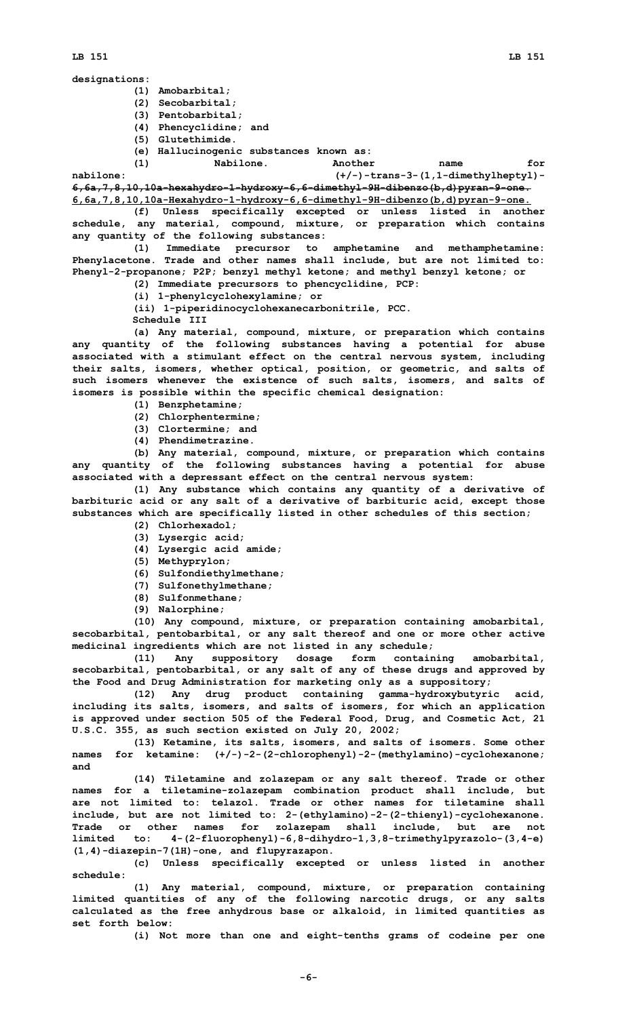**(1) Amobarbital;**

- **(2) Secobarbital;**
- **(3) Pentobarbital;**
- **(4) Phencyclidine; and**
- **(5) Glutethimide.**
- **(e) Hallucinogenic substances known as:**

**(1) Nabilone. Another name for nabilone: (+/-)-trans-3-(1,1-dimethylheptyl)-**

**6,6a,7,8,10,10a-hexahydro-1-hydroxy-6,6-dimethyl-9H-dibenzo(b,d)pyran-9-one. 6,6a,7,8,10,10a-Hexahydro-1-hydroxy-6,6-dimethyl-9H-dibenzo(b,d)pyran-9-one.**

**(f) Unless specifically excepted or unless listed in another schedule, any material, compound, mixture, or preparation which contains any quantity of the following substances:**

**(1) Immediate precursor to amphetamine and methamphetamine: Phenylacetone. Trade and other names shall include, but are not limited to: Phenyl-2-propanone; P2P; benzyl methyl ketone; and methyl benzyl ketone; or**

- **(2) Immediate precursors to phencyclidine, PCP:**
- **(i) 1-phenylcyclohexylamine; or**

**(ii) 1-piperidinocyclohexanecarbonitrile, PCC.**

**Schedule III**

**(a) Any material, compound, mixture, or preparation which contains any quantity of the following substances having <sup>a</sup> potential for abuse associated with <sup>a</sup> stimulant effect on the central nervous system, including their salts, isomers, whether optical, position, or geometric, and salts of such isomers whenever the existence of such salts, isomers, and salts of isomers is possible within the specific chemical designation:**

- **(1) Benzphetamine;**
- **(2) Chlorphentermine;**
- **(3) Clortermine; and**
- **(4) Phendimetrazine.**

**(b) Any material, compound, mixture, or preparation which contains any quantity of the following substances having <sup>a</sup> potential for abuse associated with <sup>a</sup> depressant effect on the central nervous system:**

**(1) Any substance which contains any quantity of <sup>a</sup> derivative of barbituric acid or any salt of <sup>a</sup> derivative of barbituric acid, except those substances which are specifically listed in other schedules of this section;**

- **(2) Chlorhexadol;**
- **(3) Lysergic acid;**
- **(4) Lysergic acid amide;**
- **(5) Methyprylon;**
- **(6) Sulfondiethylmethane;**
- **(7) Sulfonethylmethane;**
- **(8) Sulfonmethane; (9) Nalorphine;**

**(10) Any compound, mixture, or preparation containing amobarbital, secobarbital, pentobarbital, or any salt thereof and one or more other active medicinal ingredients which are not listed in any schedule;**

**(11) Any suppository dosage form containing amobarbital, secobarbital, pentobarbital, or any salt of any of these drugs and approved by the Food and Drug Administration for marketing only as <sup>a</sup> suppository;**

**(12) Any drug product containing gamma-hydroxybutyric acid, including its salts, isomers, and salts of isomers, for which an application is approved under section 505 of the Federal Food, Drug, and Cosmetic Act, 21 U.S.C. 355, as such section existed on July 20, 2002;**

**(13) Ketamine, its salts, isomers, and salts of isomers. Some other names for ketamine: (+/-)-2-(2-chlorophenyl)-2-(methylamino)-cyclohexanone; and**

**(14) Tiletamine and zolazepam or any salt thereof. Trade or other names for <sup>a</sup> tiletamine-zolazepam combination product shall include, but are not limited to: telazol. Trade or other names for tiletamine shall include, but are not limited to: 2-(ethylamino)-2-(2-thienyl)-cyclohexanone. Trade or other names for zolazepam shall include, but are not limited to: 4-(2-fluorophenyl)-6,8-dihydro-1,3,8-trimethylpyrazolo-(3,4-e) (1,4)-diazepin-7(1H)-one, and flupyrazapon.**

**(c) Unless specifically excepted or unless listed in another schedule:**

**(1) Any material, compound, mixture, or preparation containing limited quantities of any of the following narcotic drugs, or any salts calculated as the free anhydrous base or alkaloid, in limited quantities as set forth below:**

**(i) Not more than one and eight-tenths grams of codeine per one**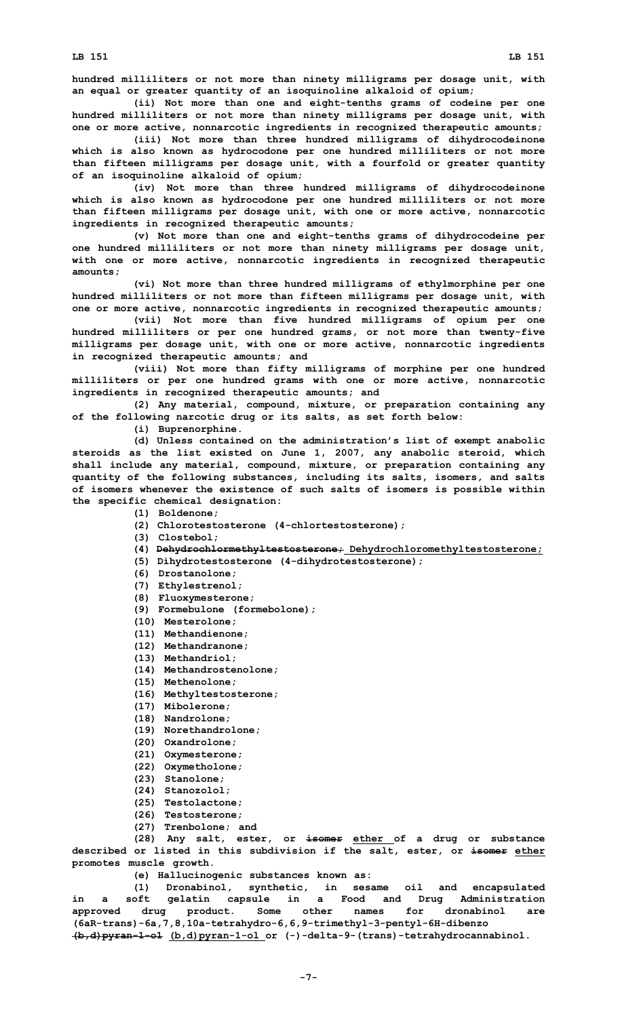**hundred milliliters or not more than ninety milligrams per dosage unit, with an equal or greater quantity of an isoquinoline alkaloid of opium;**

**(ii) Not more than one and eight-tenths grams of codeine per one hundred milliliters or not more than ninety milligrams per dosage unit, with one or more active, nonnarcotic ingredients in recognized therapeutic amounts;**

**(iii) Not more than three hundred milligrams of dihydrocodeinone which is also known as hydrocodone per one hundred milliliters or not more than fifteen milligrams per dosage unit, with <sup>a</sup> fourfold or greater quantity of an isoquinoline alkaloid of opium;**

**(iv) Not more than three hundred milligrams of dihydrocodeinone which is also known as hydrocodone per one hundred milliliters or not more than fifteen milligrams per dosage unit, with one or more active, nonnarcotic ingredients in recognized therapeutic amounts;**

**(v) Not more than one and eight-tenths grams of dihydrocodeine per one hundred milliliters or not more than ninety milligrams per dosage unit, with one or more active, nonnarcotic ingredients in recognized therapeutic amounts;**

**(vi) Not more than three hundred milligrams of ethylmorphine per one hundred milliliters or not more than fifteen milligrams per dosage unit, with one or more active, nonnarcotic ingredients in recognized therapeutic amounts;**

**(vii) Not more than five hundred milligrams of opium per one hundred milliliters or per one hundred grams, or not more than twenty-five milligrams per dosage unit, with one or more active, nonnarcotic ingredients in recognized therapeutic amounts; and**

**(viii) Not more than fifty milligrams of morphine per one hundred milliliters or per one hundred grams with one or more active, nonnarcotic ingredients in recognized therapeutic amounts; and**

**(2) Any material, compound, mixture, or preparation containing any of the following narcotic drug or its salts, as set forth below:**

**(i) Buprenorphine.**

**(d) Unless contained on the administration's list of exempt anabolic steroids as the list existed on June 1, 2007, any anabolic steroid, which shall include any material, compound, mixture, or preparation containing any quantity of the following substances, including its salts, isomers, and salts of isomers whenever the existence of such salts of isomers is possible within the specific chemical designation:**

## **(1) Boldenone;**

**(2) Chlorotestosterone (4-chlortestosterone);**

- **(3) Clostebol;**
- **(4) Dehydrochlormethyltestosterone; Dehydrochloromethyltestosterone;**
- **(5) Dihydrotestosterone (4-dihydrotestosterone);**
- **(6) Drostanolone;**
- **(7) Ethylestrenol;**
- **(8) Fluoxymesterone;**
- **(9) Formebulone (formebolone);**
- **(10) Mesterolone;**
- **(11) Methandienone;**
- **(12) Methandranone;**
- **(13) Methandriol;**
- **(14) Methandrostenolone;**
- **(15) Methenolone;**
- **(16) Methyltestosterone;**
- **(17) Mibolerone;**
- **(18) Nandrolone;**
- **(19) Norethandrolone;**
- **(20) Oxandrolone;**
- **(21) Oxymesterone;**
- **(22) Oxymetholone;**
- **(23) Stanolone;**
- **(24) Stanozolol;**
- **(25) Testolactone;**
- **(26) Testosterone;**
- **(27) Trenbolone; and**

**(28) Any salt, ester, or isomer ether of <sup>a</sup> drug or substance described or listed in this subdivision if the salt, ester, or isomer ether promotes muscle growth.**

**(e) Hallucinogenic substances known as:**

**(1) Dronabinol, synthetic, in sesame oil and encapsulated in <sup>a</sup> soft gelatin capsule in <sup>a</sup> Food and Drug Administration approved drug product. Some other names for dronabinol are (6aR-trans)-6a,7,8,10a-tetrahydro-6,6,9-trimethyl-3-pentyl-6H-dibenzo (b,d)pyran-1-o1 (b,d)pyran-1-ol or (-)-delta-9-(trans)-tetrahydrocannabinol.**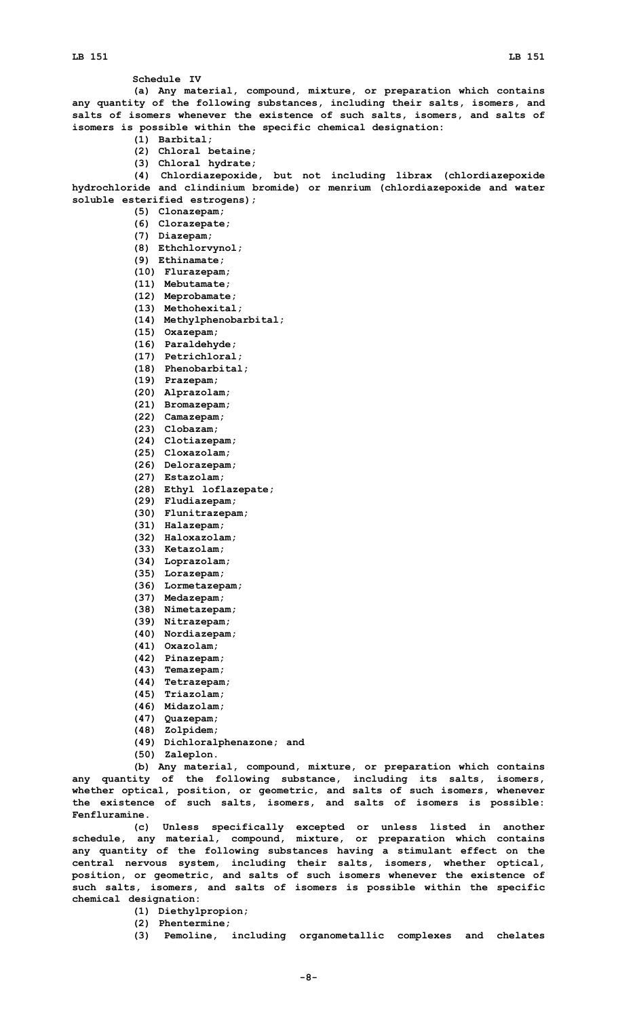**Schedule IV**

**(a) Any material, compound, mixture, or preparation which contains any quantity of the following substances, including their salts, isomers, and salts of isomers whenever the existence of such salts, isomers, and salts of isomers is possible within the specific chemical designation:**

- **(1) Barbital;**
- **(2) Chloral betaine;**
- **(3) Chloral hydrate;**

**(4) Chlordiazepoxide, but not including librax (chlordiazepoxide hydrochloride and clindinium bromide) or menrium (chlordiazepoxide and water soluble esterified estrogens);**

- **(5) Clonazepam;**
- **(6) Clorazepate;**
- **(7) Diazepam;**
- **(8) Ethchlorvynol;**
- **(9) Ethinamate;**
- **(10) Flurazepam;**
- **(11) Mebutamate;**
- **(12) Meprobamate;**
- **(13) Methohexital;**
- **(14) Methylphenobarbital;**
- **(15) Oxazepam;**
- **(16) Paraldehyde;**
- **(17) Petrichloral;**
- **(18) Phenobarbital;**
- **(19) Prazepam;**
- **(20) Alprazolam;**
- **(21) Bromazepam;**
- **(22) Camazepam;**
- **(23) Clobazam;**
- **(24) Clotiazepam;**
- **(25) Cloxazolam;**
- **(26) Delorazepam;**
- **(27) Estazolam;**
- **(28) Ethyl loflazepate;**
- **(29) Fludiazepam; (30) Flunitrazepam;**
- 
- **(31) Halazepam;**
- **(32) Haloxazolam; (33) Ketazolam;**
- **(34) Loprazolam;**
- **(35) Lorazepam;**
- 
- **(36) Lormetazepam;**
- **(37) Medazepam;**
- **(38) Nimetazepam;**
- **(39) Nitrazepam;**
- **(40) Nordiazepam;**
- **(41) Oxazolam;**
- **(42) Pinazepam;**
- **(43) Temazepam;**
- **(44) Tetrazepam;**
- **(45) Triazolam;**
- **(46) Midazolam;**
- **(47) Quazepam;**
- **(48) Zolpidem;**
- **(49) Dichloralphenazone; and**
- **(50) Zaleplon.**

**(b) Any material, compound, mixture, or preparation which contains any quantity of the following substance, including its salts, isomers, whether optical, position, or geometric, and salts of such isomers, whenever the existence of such salts, isomers, and salts of isomers is possible: Fenfluramine.**

**(c) Unless specifically excepted or unless listed in another schedule, any material, compound, mixture, or preparation which contains any quantity of the following substances having <sup>a</sup> stimulant effect on the central nervous system, including their salts, isomers, whether optical, position, or geometric, and salts of such isomers whenever the existence of such salts, isomers, and salts of isomers is possible within the specific chemical designation:**

- **(1) Diethylpropion;**
- **(2) Phentermine;**
- **(3) Pemoline, including organometallic complexes and chelates**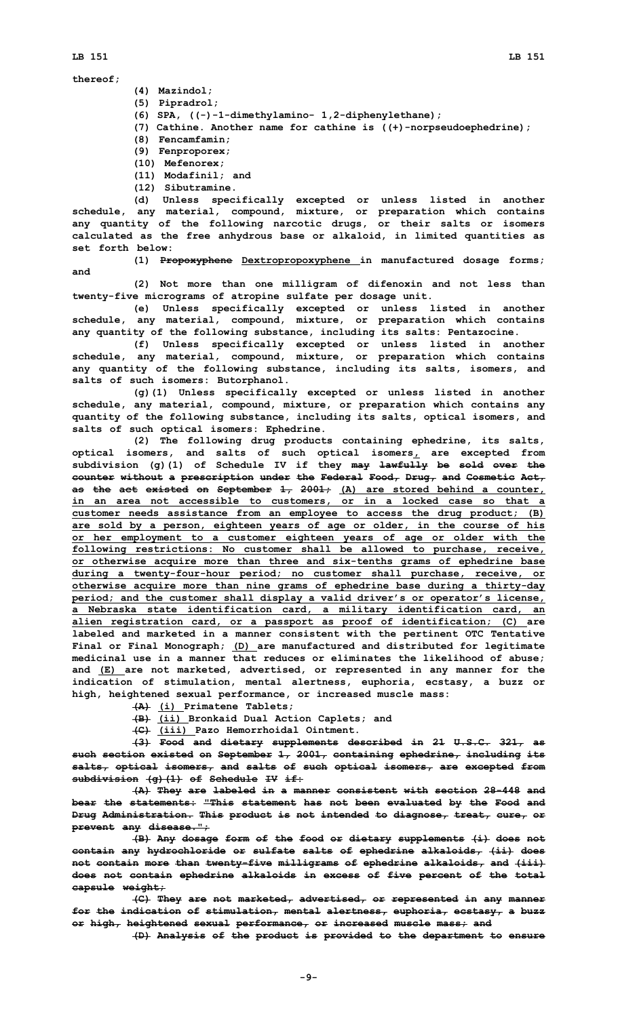- **(4) Mazindol;**
- **(5) Pipradrol;**
- **(6) SPA, ((-)-1-dimethylamino- 1,2-diphenylethane);**
- **(7) Cathine. Another name for cathine is ((+)-norpseudoephedrine);**
- **(8) Fencamfamin;**
- **(9) Fenproporex;**
- **(10) Mefenorex;**
- **(11) Modafinil; and**
- **(12) Sibutramine.**

**(d) Unless specifically excepted or unless listed in another schedule, any material, compound, mixture, or preparation which contains any quantity of the following narcotic drugs, or their salts or isomers calculated as the free anhydrous base or alkaloid, in limited quantities as set forth below:**

**and**

**(1) Propoxyphene Dextropropoxyphene in manufactured dosage forms;**

**(2) Not more than one milligram of difenoxin and not less than twenty-five micrograms of atropine sulfate per dosage unit.**

**(e) Unless specifically excepted or unless listed in another schedule, any material, compound, mixture, or preparation which contains any quantity of the following substance, including its salts: Pentazocine.**

**(f) Unless specifically excepted or unless listed in another schedule, any material, compound, mixture, or preparation which contains any quantity of the following substance, including its salts, isomers, and salts of such isomers: Butorphanol.**

**(g)(1) Unless specifically excepted or unless listed in another schedule, any material, compound, mixture, or preparation which contains any quantity of the following substance, including its salts, optical isomers, and salts of such optical isomers: Ephedrine.**

**(2) The following drug products containing ephedrine, its salts, optical isomers, and salts of such optical isomers, are excepted from subdivision (g)(1) of Schedule IV if they may lawfully be sold over the counter without <sup>a</sup> prescription under the Federal Food, Drug, and Cosmetic Act, as the act existed on September 1, 2001; (A) are stored behind <sup>a</sup> counter, in an area not accessible to customers, or in <sup>a</sup> locked case so that <sup>a</sup> customer needs assistance from an employee to access the drug product; (B) are sold by <sup>a</sup> person, eighteen years of age or older, in the course of his or her employment to <sup>a</sup> customer eighteen years of age or older with the following restrictions: No customer shall be allowed to purchase, receive, or otherwise acquire more than three and six-tenths grams of ephedrine base during <sup>a</sup> twenty-four-hour period; no customer shall purchase, receive, or otherwise acquire more than nine grams of ephedrine base during <sup>a</sup> thirty-day period; and the customer shall display <sup>a</sup> valid driver's or operator's license, <sup>a</sup> Nebraska state identification card, <sup>a</sup> military identification card, an alien registration card, or <sup>a</sup> passport as proof of identification; (C) are labeled and marketed in <sup>a</sup> manner consistent with the pertinent OTC Tentative Final or Final Monograph; (D) are manufactured and distributed for legitimate medicinal use in <sup>a</sup> manner that reduces or eliminates the likelihood of abuse; and (E) are not marketed, advertised, or represented in any manner for the indication of stimulation, mental alertness, euphoria, ecstasy, <sup>a</sup> buzz or high, heightened sexual performance, or increased muscle mass:**

- **(A) (i) Primatene Tablets;**
- **(B) (ii) Bronkaid Dual Action Caplets; and**
- **(C) (iii) Pazo Hemorrhoidal Ointment.**

**(3) Food and dietary supplements described in 21 U.S.C. 321, as such section existed on September 1, 2001, containing ephedrine, including its salts, optical isomers, and salts of such optical isomers, are excepted from subdivision (g)(1) of Schedule IV if:**

**(A) They are labeled in <sup>a</sup> manner consistent with section 28-448 and bear the statements: "This statement has not been evaluated by the Food and Drug Administration. This product is not intended to diagnose, treat, cure, or prevent any disease.";**

**(B) Any dosage form of the food or dietary supplements (i) does not contain any hydrochloride or sulfate salts of ephedrine alkaloids, (ii) does not contain more than twenty-five milligrams of ephedrine alkaloids, and (iii) does not contain ephedrine alkaloids in excess of five percent of the total capsule weight;**

**(C) They are not marketed, advertised, or represented in any manner for the indication of stimulation, mental alertness, euphoria, ecstasy, <sup>a</sup> buzz or high, heightened sexual performance, or increased muscle mass; and**

**(D) Analysis of the product is provided to the department to ensure**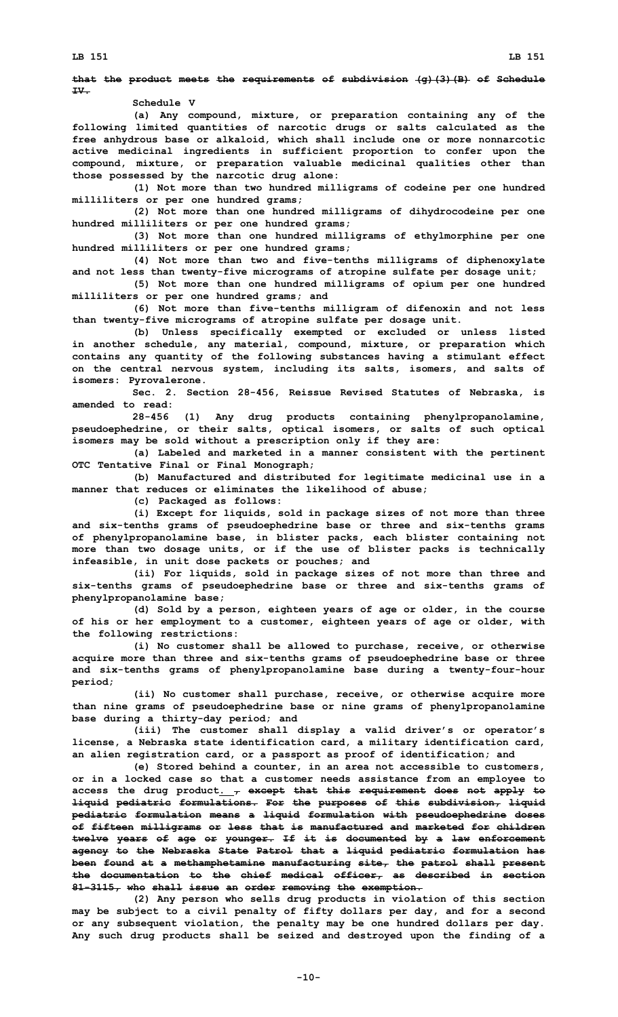## **that the product meets the requirements of subdivision (g)(3)(B) of Schedule IV.**

**Schedule V**

**(a) Any compound, mixture, or preparation containing any of the following limited quantities of narcotic drugs or salts calculated as the free anhydrous base or alkaloid, which shall include one or more nonnarcotic active medicinal ingredients in sufficient proportion to confer upon the compound, mixture, or preparation valuable medicinal qualities other than those possessed by the narcotic drug alone:**

**(1) Not more than two hundred milligrams of codeine per one hundred milliliters or per one hundred grams;**

**(2) Not more than one hundred milligrams of dihydrocodeine per one hundred milliliters or per one hundred grams;**

**(3) Not more than one hundred milligrams of ethylmorphine per one hundred milliliters or per one hundred grams;**

**(4) Not more than two and five-tenths milligrams of diphenoxylate and not less than twenty-five micrograms of atropine sulfate per dosage unit;**

**(5) Not more than one hundred milligrams of opium per one hundred milliliters or per one hundred grams; and**

**(6) Not more than five-tenths milligram of difenoxin and not less than twenty-five micrograms of atropine sulfate per dosage unit.**

**(b) Unless specifically exempted or excluded or unless listed in another schedule, any material, compound, mixture, or preparation which contains any quantity of the following substances having <sup>a</sup> stimulant effect on the central nervous system, including its salts, isomers, and salts of isomers: Pyrovalerone.**

**Sec. 2. Section 28-456, Reissue Revised Statutes of Nebraska, is amended to read:**

**28-456 (1) Any drug products containing phenylpropanolamine, pseudoephedrine, or their salts, optical isomers, or salts of such optical isomers may be sold without <sup>a</sup> prescription only if they are:**

**(a) Labeled and marketed in <sup>a</sup> manner consistent with the pertinent OTC Tentative Final or Final Monograph;**

**(b) Manufactured and distributed for legitimate medicinal use in <sup>a</sup> manner that reduces or eliminates the likelihood of abuse;**

**(c) Packaged as follows:**

**(i) Except for liquids, sold in package sizes of not more than three and six-tenths grams of pseudoephedrine base or three and six-tenths grams of phenylpropanolamine base, in blister packs, each blister containing not more than two dosage units, or if the use of blister packs is technically infeasible, in unit dose packets or pouches; and**

**(ii) For liquids, sold in package sizes of not more than three and six-tenths grams of pseudoephedrine base or three and six-tenths grams of phenylpropanolamine base;**

**(d) Sold by <sup>a</sup> person, eighteen years of age or older, in the course of his or her employment to <sup>a</sup> customer, eighteen years of age or older, with the following restrictions:**

**(i) No customer shall be allowed to purchase, receive, or otherwise acquire more than three and six-tenths grams of pseudoephedrine base or three and six-tenths grams of phenylpropanolamine base during <sup>a</sup> twenty-four-hour period;**

**(ii) No customer shall purchase, receive, or otherwise acquire more than nine grams of pseudoephedrine base or nine grams of phenylpropanolamine base during <sup>a</sup> thirty-day period; and**

**(iii) The customer shall display <sup>a</sup> valid driver's or operator's license, <sup>a</sup> Nebraska state identification card, <sup>a</sup> military identification card, an alien registration card, or <sup>a</sup> passport as proof of identification; and**

**(e) Stored behind <sup>a</sup> counter, in an area not accessible to customers, or in <sup>a</sup> locked case so that <sup>a</sup> customer needs assistance from an employee to access the drug product. , except that this requirement does not apply to liquid pediatric formulations. For the purposes of this subdivision, liquid pediatric formulation means <sup>a</sup> liquid formulation with pseudoephedrine doses of fifteen milligrams or less that is manufactured and marketed for children twelve years of age or younger. If it is documented by <sup>a</sup> law enforcement agency to the Nebraska State Patrol that <sup>a</sup> liquid pediatric formulation has been found at <sup>a</sup> methamphetamine manufacturing site, the patrol shall present the documentation to the chief medical officer, as described in section 81-3115, who shall issue an order removing the exemption.**

**(2) Any person who sells drug products in violation of this section may be subject to <sup>a</sup> civil penalty of fifty dollars per day, and for <sup>a</sup> second or any subsequent violation, the penalty may be one hundred dollars per day. Any such drug products shall be seized and destroyed upon the finding of <sup>a</sup>**